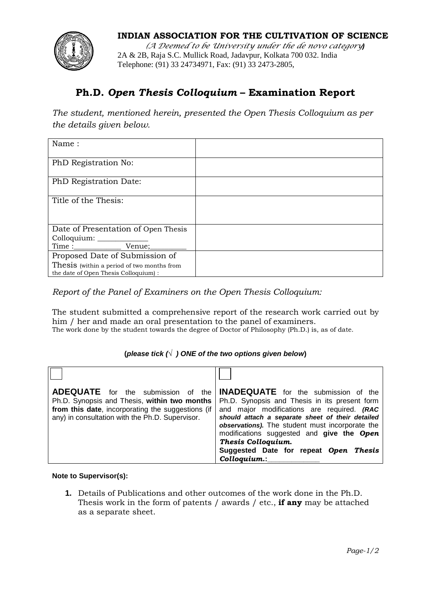

## **INDIAN ASSOCIATION FOR THE CULTIVATION OF SCIENCE**

*(A Deemed to be University under the de novo category)* 2A & 2B, Raja S.C. Mullick Road, Jadavpur, Kolkata 700 032. India Telephone: (91) 33 24734971, Fax: (91) 33 2473-2805,

## **Ph.D.** *Open Thesis Colloquium* **– Examination Report**

*The student, mentioned herein, presented the Open Thesis Colloquium as per the details given below.*

| Name:                                                                               |  |
|-------------------------------------------------------------------------------------|--|
| PhD Registration No:                                                                |  |
| PhD Registration Date:                                                              |  |
| Title of the Thesis:                                                                |  |
| Date of Presentation of Open Thesis                                                 |  |
|                                                                                     |  |
| Proposed Date of Submission of                                                      |  |
| Thesis (within a period of two months from<br>the date of Open Thesis Colloquium) : |  |

*Report of the Panel of Examiners on the Open Thesis Colloquium:*

The student submitted a comprehensive report of the research work carried out by him / her and made an oral presentation to the panel of examiners. The work done by the student towards the degree of Doctor of Philosophy (Ph.D.) is, as of date.

## **(***please tick (*√ *) ONE of the two options given below***)**

| <b>ADEQUATE</b> for the submission of the<br>Ph.D. Synopsis and Thesis, within two months<br>from this date, incorporating the suggestions (if<br>any) in consultation with the Ph.D. Supervisor. | <b>INADEQUATE</b> for the submission of the<br>Ph.D. Synopsis and Thesis in its present form<br>and major modifications are required. (RAC<br>should attach a separate sheet of their detailed<br>observations). The student must incorporate the<br>modifications suggested and give the Open<br>Thesis Colloquium.<br>Suggested Date for repeat Open Thesis<br>Colloquium.: |
|---------------------------------------------------------------------------------------------------------------------------------------------------------------------------------------------------|-------------------------------------------------------------------------------------------------------------------------------------------------------------------------------------------------------------------------------------------------------------------------------------------------------------------------------------------------------------------------------|

## **Note to Supervisor(s):**

**1.** Details of Publications and other outcomes of the work done in the Ph.D. Thesis work in the form of patents / awards / etc., **if any** may be attached as a separate sheet.